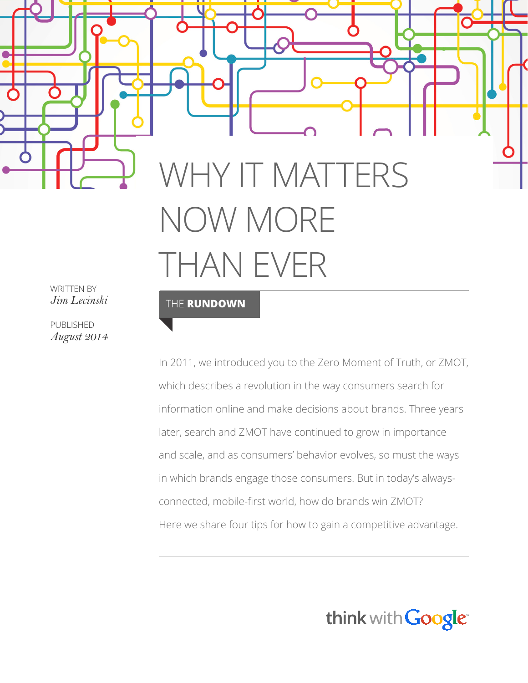# WHY IT MATTERS NOW MORE THAN EVER

WRITTEN BY *Jim Lecinski*

PUBLISHED *August 2014*

#### THE **RUNDOWN**

In 2011, we introduced you to the Zero Moment of Truth, or ZMOT, which describes a revolution in the way consumers search for information online and make decisions about brands. Three years later, search and ZMOT have continued to grow in importance and scale, and as consumers' behavior evolves, so must the ways in which brands engage those consumers. But in today's alwaysconnected, mobile-first world, how do brands win ZMOT? Here we share four tips for how to gain a competitive advantage.

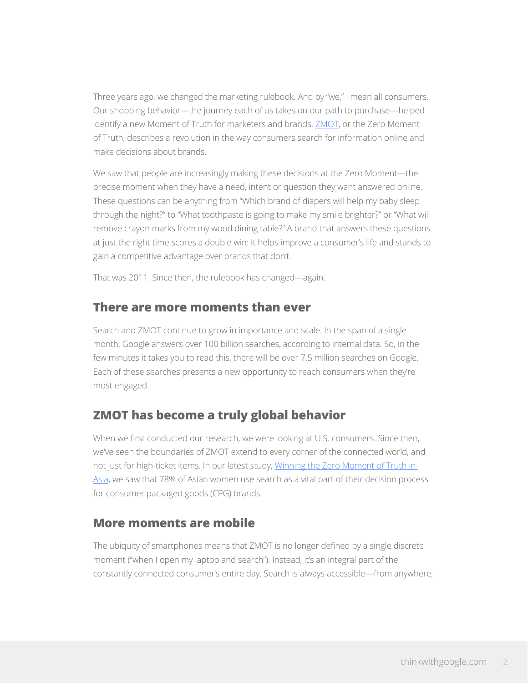Three years ago, we changed the marketing rulebook. And by "we," I mean all consumers. Our shopping behavior—the journey each of us takes on our path to purchase—helped identify a new Moment of Truth for marketers and brands. [ZMOT,](http://www.thinkwithgoogle.com/collections/zero-moment-truth.html) or the Zero Moment of Truth, describes a revolution in the way consumers search for information online and make decisions about brands.

We saw that people are increasingly making these decisions at the Zero Moment—the precise moment when they have a need, intent or question they want answered online. These questions can be anything from "Which brand of diapers will help my baby sleep through the night?" to "What toothpaste is going to make my smile brighter?" or "What will remove crayon marks from my wood dining table?" A brand that answers these questions at just the right time scores a double win: It helps improve a consumer's life and stands to gain a competitive advantage over brands that don't.

That was 2011. Since then, the rulebook has changed—again.

#### **There are more moments than ever**

Search and ZMOT continue to grow in importance and scale. In the span of a single month, Google answers over 100 billion searches, according to internal data. So, in the few minutes it takes you to read this, there will be over 7.5 million searches on Google. Each of these searches presents a new opportunity to reach consumers when they're most engaged.

## **ZMOT has become a truly global behavior**

When we first conducted our research, we were looking at U.S. consumers. Since then, we've seen the boundaries of ZMOT extend to every corner of the connected world, and not just for high-ticket items. In our latest study, [Winning the Zero Moment of Truth in](http://www.thinkwithgoogle.com/research-studies/winning-zmot-asia.html)  [Asia,](http://www.thinkwithgoogle.com/research-studies/winning-zmot-asia.html) we saw that 78% of Asian women use search as a vital part of their decision process for consumer packaged goods (CPG) brands.

## **More moments are mobile**

The ubiquity of smartphones means that ZMOT is no longer defined by a single discrete moment ("when I open my laptop and search"). Instead, it's an integral part of the constantly connected consumer's entire day. Search is always accessible—from anywhere,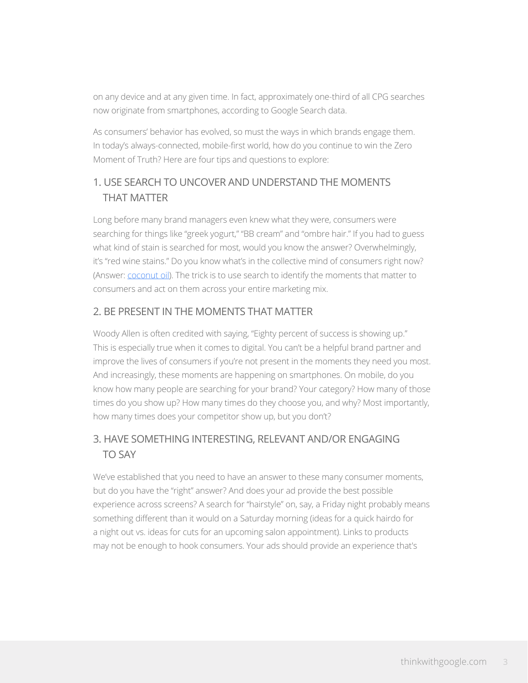on any device and at any given time. In fact, approximately one-third of all CPG searches now originate from smartphones, according to Google Search data.

As consumers' behavior has evolved, so must the ways in which brands engage them. In today's always-connected, mobile-first world, how do you continue to win the Zero Moment of Truth? Here are four tips and questions to explore:

## 1. USE SEARCH TO UNCOVER AND UNDERSTAND THE MOMENTS THAT MATTER

Long before many brand managers even knew what they were, consumers were searching for things like "greek yogurt," "BB cream" and "ombre hair." If you had to guess what kind of stain is searched for most, would you know the answer? Overwhelmingly, it's "red wine stains." Do you know what's in the collective mind of consumers right now? (Answer: [coconut oil](http://www.google.com/trends/explore#q=/m/01jszz&cmpt=q)). The trick is to use search to identify the moments that matter to consumers and act on them across your entire marketing mix.

#### 2. BE PRESENT IN THE MOMENTS THAT MATTER

Woody Allen is often credited with saying, "Eighty percent of success is showing up." This is especially true when it comes to digital. You can't be a helpful brand partner and improve the lives of consumers if you're not present in the moments they need you most. And increasingly, these moments are happening on smartphones. On mobile, do you know how many people are searching for your brand? Your category? How many of those times do you show up? How many times do they choose you, and why? Most importantly, how many times does your competitor show up, but you don't?

### 3. HAVE SOMETHING INTERESTING, RELEVANT AND/OR ENGAGING TO SAY

We've established that you need to have an answer to these many consumer moments, but do you have the "right" answer? And does your ad provide the best possible experience across screens? A search for "hairstyle" on, say, a Friday night probably means something different than it would on a Saturday morning (ideas for a quick hairdo for a night out vs. ideas for cuts for an upcoming salon appointment). Links to products may not be enough to hook consumers. Your ads should provide an experience that's